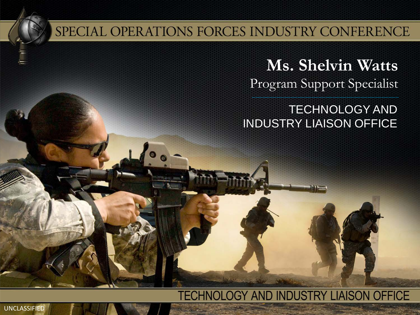### SPECIAL OPERATIONS FORCES INDUSTRY CONFERENCE

**Ms. Shelvin Watts** Program Support Specialist

TECHNOLOGY AND INDUSTRY LIAISON OFFICE

#### **TECHNOLOGY AND INDUSTRY LIAISON OFFICE**

UNCLASSIFIED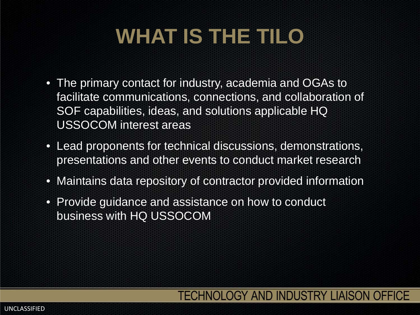# **WHAT IS THE TILO**

- The primary contact for industry, academia and OGAs to facilitate communications, connections, and collaboration of SOF capabilities, ideas, and solutions applicable HQ USSOCOM interest areas
- Lead proponents for technical discussions, demonstrations, presentations and other events to conduct market research
- Maintains data repository of contractor provided information
- Provide guidance and assistance on how to conduct business with HQ USSOCOM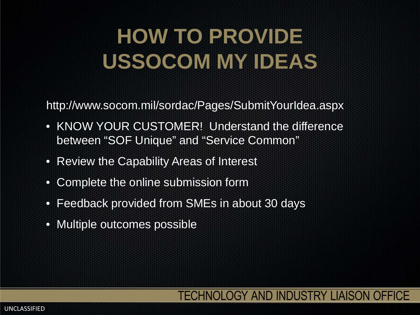### **HOW TO PROVIDE USSOCOM MY IDEAS**

http://www.socom.mil/sordac/Pages/SubmitYourIdea.aspx

- KNOW YOUR CUSTOMER! Understand the difference between "SOF Unique" and "Service Common"
- Review the Capability Areas of Interest
- Complete the online submission form
- Feedback provided from SMEs in about 30 days
- Multiple outcomes possible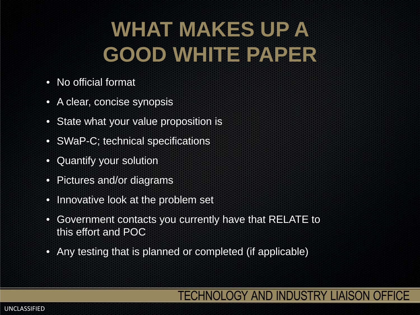# **WHAT MAKES UP A GOOD WHITE PAPER**

- No official format
- A clear, concise synopsis
- State what your value proposition is
- SWaP-C; technical specifications
- Quantify your solution
- Pictures and/or diagrams
- Innovative look at the problem set
- Government contacts you currently have that RELATE to this effort and POC
- Any testing that is planned or completed (if applicable)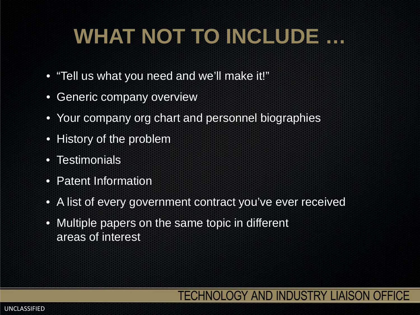# **WHAT NOT TO INCLUDE …**

- "Tell us what you need and we'll make it!"
- Generic company overview
- Your company org chart and personnel biographies
- History of the problem
- Testimonials
- Patent Information
- A list of every government contract you've ever received
- Multiple papers on the same topic in different areas of interest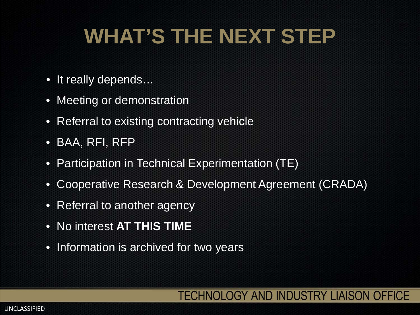# **WHAT'S THE NEXT STEP**

- It really depends...
- Meeting or demonstration
- Referral to existing contracting vehicle
- BAA, RFI, RFP
- Participation in Technical Experimentation (TE)
- Cooperative Research & Development Agreement (CRADA)
- Referral to another agency
- No interest **AT THIS TIME**
- Information is archived for two years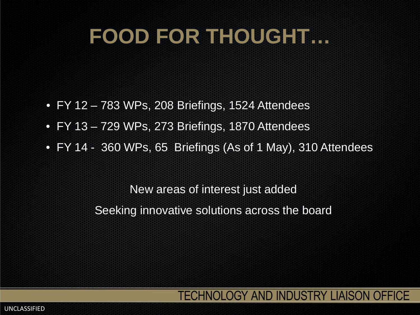### **FOOD FOR THOUGHT…**

- FY 12 783 WPs, 208 Briefings, 1524 Attendees
- FY 13 729 WPs, 273 Briefings, 1870 Attendees
- FY 14 360 WPs, 65 Briefings (As of 1 May), 310 Attendees

New areas of interest just added Seeking innovative solutions across the board